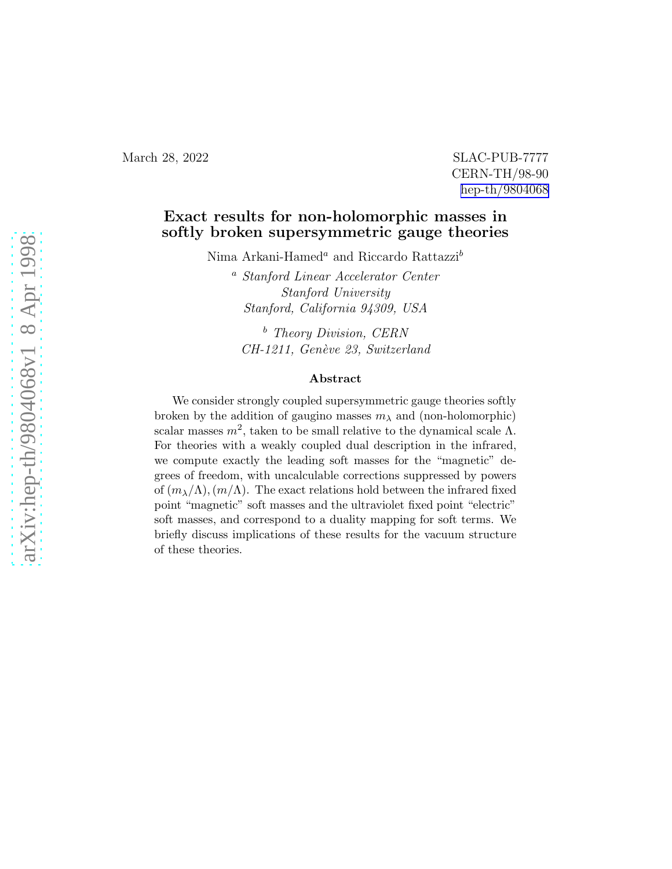## March 28, 2022 SLAC-PUB-7777 CERN-TH/98-90 [hep-th/9804068](http://arxiv.org/abs/hep-th/9804068)

## Exact results for non-holomorphic masses in softly broken supersymmetric gauge theories

Nima Arkani-Hamed<sup>a</sup> and Riccardo Rattazzi<sup>b</sup>

<sup>a</sup> Stanford Linear Accelerator Center Stanford University Stanford, California 94309, USA

<sup>b</sup> Theory Division, CERN CH-1211, Genève 23, Switzerland

## Abstract

We consider strongly coupled supersymmetric gauge theories softly broken by the addition of gaugino masses  $m<sub>\lambda</sub>$  and (non-holomorphic) scalar masses  $m^2$ , taken to be small relative to the dynamical scale  $\Lambda$ . For theories with a weakly coupled dual description in the infrared, we compute exactly the leading soft masses for the "magnetic" degrees of freedom, with uncalculable corrections suppressed by powers of  $(m_{\lambda}/\Lambda)$ ,  $(m/\Lambda)$ . The exact relations hold between the infrared fixed point "magnetic" soft masses and the ultraviolet fixed point "electric" soft masses, and correspond to a duality mapping for soft terms. We briefly discuss implications of these results for the vacuum structure of these theories.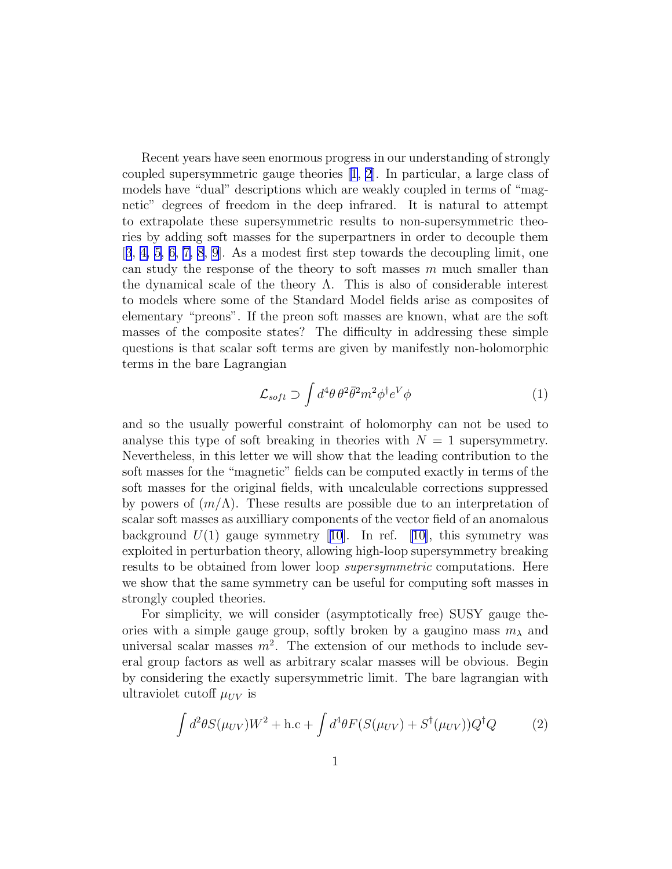Recent years have seen enormous progress in our understanding of strongly coupled supersymmetric gauge theories[[1, 2](#page-10-0)]. In particular, a large class of models have "dual" descriptions which are weakly coupled in terms of "magnetic" degrees of freedom in the deep infrared. It is natural to attempt to extrapolate these supersymmetric results to non-supersymmetric theories by adding soft masses for the superpartners in order to decouple them [[3](#page-10-0), [4, 5, 6,](#page-10-0) [7, 8, 9](#page-11-0)]. As a modest first step towards the decoupling limit, one can study the response of the theory to soft masses  $m$  much smaller than the dynamical scale of the theory  $\Lambda$ . This is also of considerable interest to models where some of the Standard Model fields arise as composites of elementary "preons". If the preon soft masses are known, what are the soft masses of the composite states? The difficulty in addressing these simple questions is that scalar soft terms are given by manifestly non-holomorphic terms in the bare Lagrangian

$$
\mathcal{L}_{soft} \supset \int d^4\theta \,\theta^2 \bar{\theta}^2 m^2 \phi^{\dagger} e^V \phi \tag{1}
$$

and so the usually powerful constraint of holomorphy can not be used to analyse this type of soft breaking in theories with  $N = 1$  supersymmetry. Nevertheless, in this letter we will show that the leading contribution to the soft masses for the "magnetic" fields can be computed exactly in terms of the soft masses for the original fields, with uncalculable corrections suppressed by powers of  $(m/\Lambda)$ . These results are possible due to an interpretation of scalar soft masses as auxilliary components of the vector field of an anomalous background $U(1)$  gauge symmetry [[10](#page-11-0)]. In ref. [[10\]](#page-11-0), this symmetry was exploited in perturbation theory, allowing high-loop supersymmetry breaking results to be obtained from lower loop supersymmetric computations. Here we show that the same symmetry can be useful for computing soft masses in strongly coupled theories.

For simplicity, we will consider (asymptotically free) SUSY gauge theories with a simple gauge group, softly broken by a gaugino mass  $m<sub>\lambda</sub>$  and universal scalar masses  $m^2$ . The extension of our methods to include several group factors as well as arbitrary scalar masses will be obvious. Begin by considering the exactly supersymmetric limit. The bare lagrangian with ultraviolet cutoff  $\mu_{UV}$  is

$$
\int d^2\theta S(\mu_{UV})W^2 + \text{h.c} + \int d^4\theta F(S(\mu_{UV}) + S^{\dagger}(\mu_{UV}))Q^{\dagger}Q \tag{2}
$$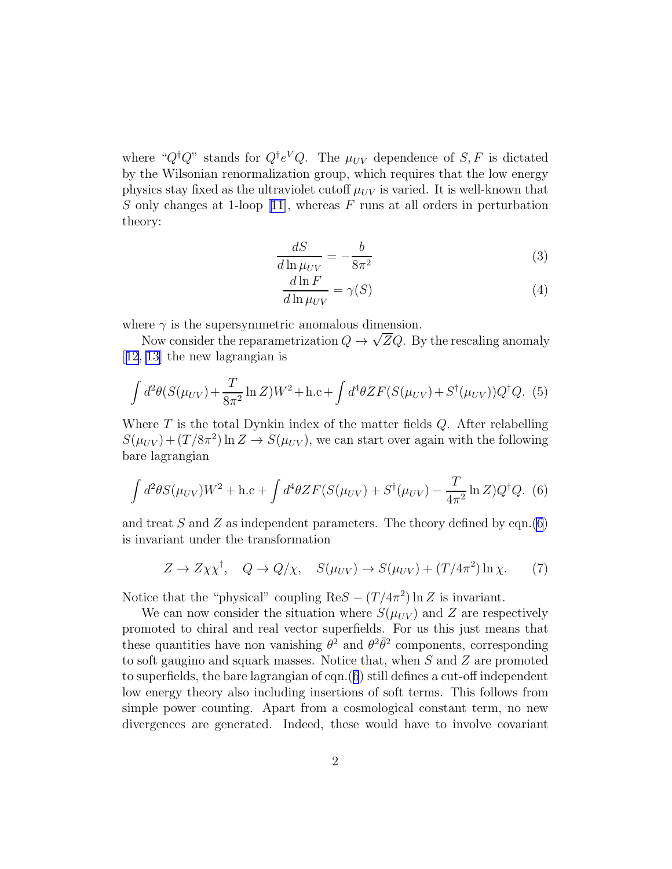<span id="page-2-0"></span>where " $Q^{\dagger}Q$ " stands for  $Q^{\dagger}e^VQ$ . The  $\mu_{UV}$  dependence of  $S, F$  is dictated by the Wilsonian renormalization group, which requires that the low energy physics stay fixed as the ultraviolet cutoff  $\mu_{UV}$  is varied. It is well-known that S only changes at 1-loop [\[11\]](#page-11-0), whereas F runs at all orders in perturbation theory:

$$
\frac{dS}{d\ln\mu_{UV}} = -\frac{b}{8\pi^2} \tag{3}
$$

$$
\frac{d\ln F}{d\ln \mu_{UV}} = \gamma(S) \tag{4}
$$

where  $\gamma$  is the supersymmetric anomalous dimension.

Now consider the reparametrization  $Q \to \sqrt{Z}Q$ . By the rescaling anomaly [[12](#page-11-0), [13](#page-11-0)] the new lagrangian is

$$
\int d^2\theta (S(\mu_{UV}) + \frac{T}{8\pi^2} \ln Z) W^2 + \text{h.c} + \int d^4\theta Z F (S(\mu_{UV}) + S^{\dagger}(\mu_{UV})) Q^{\dagger} Q. (5)
$$

Where  $T$  is the total Dynkin index of the matter fields  $Q$ . After relabelling  $S(\mu_{UV}) + (T/8\pi^2) \ln Z \rightarrow S(\mu_{UV})$ , we can start over again with the following bare lagrangian

$$
\int d^2\theta S(\mu_{UV})W^2 + \text{h.c} + \int d^4\theta Z F(S(\mu_{UV}) + S^{\dagger}(\mu_{UV}) - \frac{T}{4\pi^2} \ln Z) Q^{\dagger} Q. (6)
$$

and treat S and Z as independent parameters. The theory defined by eqn.(6) is invariant under the transformation

$$
Z \to Z \chi \chi^{\dagger}, \quad Q \to Q/\chi, \quad S(\mu_{UV}) \to S(\mu_{UV}) + (T/4\pi^2) \ln \chi. \tag{7}
$$

Notice that the "physical" coupling  $\text{Re}S - (T/4\pi^2) \ln Z$  is invariant.

We can now consider the situation where  $S(\mu_{UV})$  and Z are respectively promoted to chiral and real vector superfields. For us this just means that these quantities have non vanishing  $\theta^2$  and  $\theta^2 \bar{\theta}^2$  components, corresponding to soft gaugino and squark masses. Notice that, when S and Z are promoted to superfields, the bare lagrangian of eqn.(6) still defines a cut-off independent low energy theory also including insertions of soft terms. This follows from simple power counting. Apart from a cosmological constant term, no new divergences are generated. Indeed, these would have to involve covariant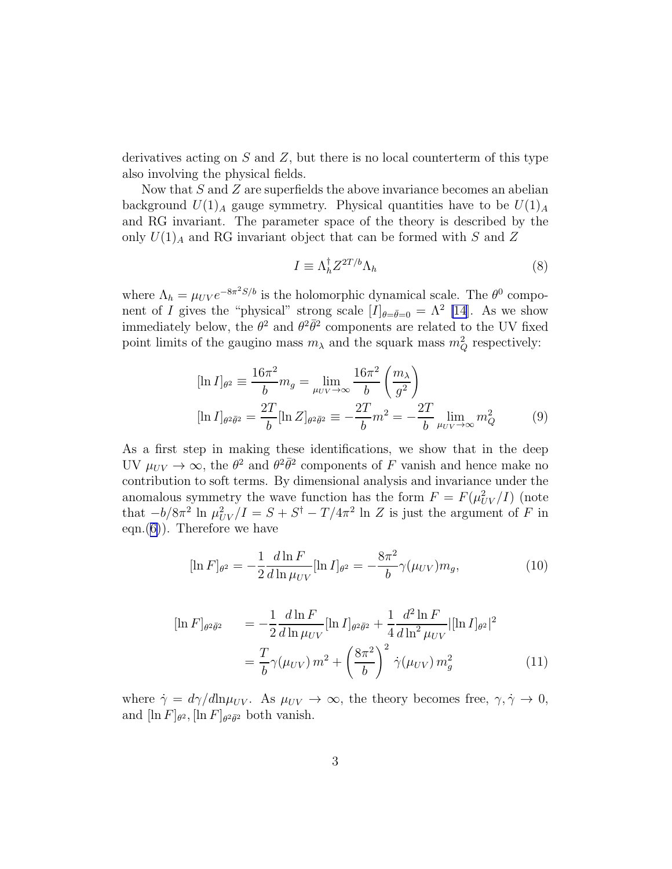<span id="page-3-0"></span>derivatives acting on  $S$  and  $Z$ , but there is no local counterterm of this type also involving the physical fields.

Now that S and Z are superfields the above invariance becomes an abelian background  $U(1)_A$  gauge symmetry. Physical quantities have to be  $U(1)_A$ and RG invariant. The parameter space of the theory is described by the only  $U(1)_A$  and RG invariant object that can be formed with  $S$  and  $Z$ 

$$
I \equiv \Lambda_h^{\dagger} Z^{2T/b} \Lambda_h \tag{8}
$$

where  $\Lambda_h = \mu_{UV} e^{-8\pi^2 S/b}$  is the holomorphic dynamical scale. The  $\theta^0$  component of I gives the "physical" strong scale  $[I]_{\theta=\bar{\theta}=0} = \Lambda^2$  [\[14](#page-11-0)]. As we show immediately below, the  $\theta^2$  and  $\theta^2 \bar{\theta}^2$  components are related to the UV fixed point limits of the gaugino mass  $m_{\lambda}$  and the squark mass  $m_Q^2$  respectively:

$$
[\ln I]_{\theta^2} \equiv \frac{16\pi^2}{b} m_g = \lim_{\mu_{UV}\to\infty} \frac{16\pi^2}{b} \left(\frac{m_\lambda}{g^2}\right)
$$

$$
[\ln I]_{\theta^2 \bar{\theta}^2} = \frac{2T}{b} [\ln Z]_{\theta^2 \bar{\theta}^2} \equiv -\frac{2T}{b} m^2 = -\frac{2T}{b} \lim_{\mu_{UV}\to\infty} m_Q^2 \tag{9}
$$

As a first step in making these identifications, we show that in the deep UV  $\mu_{UV} \to \infty$ , the  $\theta^2$  and  $\theta^2 \bar{\theta}^2$  components of F vanish and hence make no contribution to soft terms. By dimensional analysis and invariance under the anomalous symmetry the wave function has the form  $F = F(\mu_{UV}^2/I)$  (note that  $-b/8\pi^2$  ln  $\mu_{UV}^2/I = S + S^{\dagger} - T/4\pi^2$  ln Z is just the argument of F in eqn. $(6)$  $(6)$ ). Therefore we have

$$
[\ln F]_{\theta^2} = -\frac{1}{2} \frac{d \ln F}{d \ln \mu_{UV}} [\ln I]_{\theta^2} = -\frac{8\pi^2}{b} \gamma(\mu_{UV}) m_g,
$$
\n(10)

$$
[\ln F]_{\theta^2 \bar{\theta}^2} = -\frac{1}{2} \frac{d \ln F}{d \ln \mu_{UV}} [\ln I]_{\theta^2 \bar{\theta}^2} + \frac{1}{4} \frac{d^2 \ln F}{d \ln^2 \mu_{UV}} |[\ln I]_{\theta^2}|^2
$$
  

$$
= \frac{T}{b} \gamma(\mu_{UV}) m^2 + \left(\frac{8\pi^2}{b}\right)^2 \dot{\gamma}(\mu_{UV}) m_g^2
$$
(11)

where  $\dot{\gamma} = d\gamma/d\text{ln}\mu_{UV}$ . As  $\mu_{UV} \rightarrow \infty$ , the theory becomes free,  $\gamma, \dot{\gamma} \rightarrow 0$ , and  $[\ln F]_{\theta^2}$ ,  $[\ln F]_{\theta^2 \bar{\theta}^2}$  both vanish.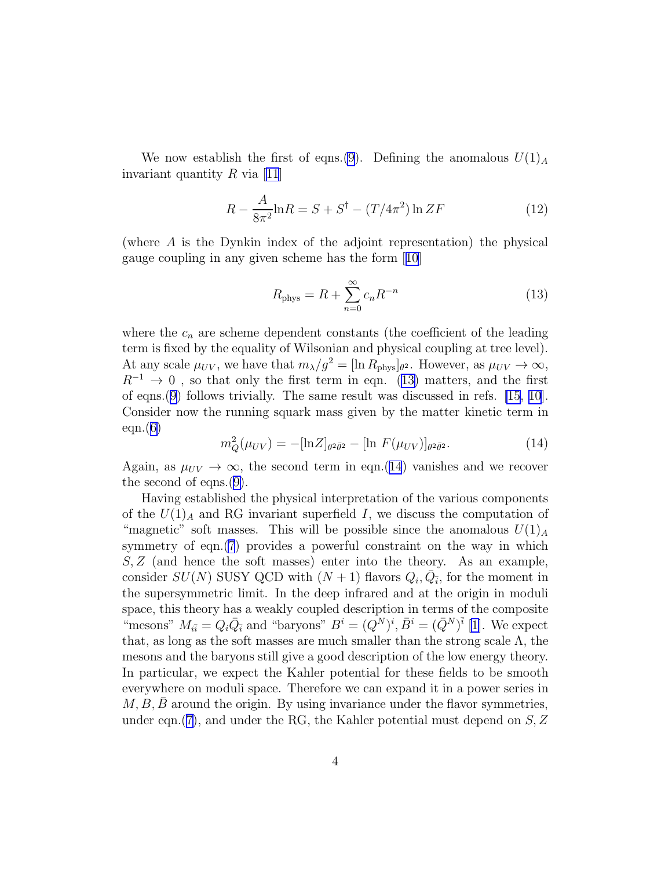We now establish the first of eqns.[\(9](#page-3-0)). Defining the anomalous  $U(1)_A$ invariantquantity  $R$  via [[11](#page-11-0)]

$$
R - \frac{A}{8\pi^2} \ln R = S + S^{\dagger} - (T/4\pi^2) \ln ZF
$$
 (12)

(where A is the Dynkin index of the adjoint representation) the physical gauge coupling in any given scheme has the form[[10](#page-11-0)]

$$
R_{\text{phys}} = R + \sum_{n=0}^{\infty} c_n R^{-n}
$$
\n(13)

where the  $c_n$  are scheme dependent constants (the coefficient of the leading term is fixed by the equality of Wilsonian and physical coupling at tree level). At any scale  $\mu_{UV}$ , we have that  $m_{\lambda}/g^2 = [\ln R_{\text{phys}}]_{\theta^2}$ . However, as  $\mu_{UV} \to \infty$ ,  $R^{-1} \rightarrow 0$ , so that only the first term in eqn. (13) matters, and the first of eqns.[\(9\)](#page-3-0) follows trivially. The same result was discussed in refs. [\[15](#page-11-0), [10](#page-11-0)]. Consider now the running squark mass given by the matter kinetic term in  $eqn(6)$  $eqn(6)$ 

$$
m_Q^2(\mu_{UV}) = -[\ln Z]_{\theta^2 \bar{\theta}^2} - [\ln F(\mu_{UV})]_{\theta^2 \bar{\theta}^2}.
$$
 (14)

Again, as  $\mu_{UV} \rightarrow \infty$ , the second term in eqn.(14) vanishes and we recover the second of eqns.([9\)](#page-3-0).

Having established the physical interpretation of the various components of the  $U(1)_A$  and RG invariant superfield I, we discuss the computation of "magnetic" soft masses. This will be possible since the anomalous  $U(1)<sub>A</sub>$ symmetry of eqn.[\(7](#page-2-0)) provides a powerful constraint on the way in which  $S, Z$  (and hence the soft masses) enter into the theory. As an example, consider  $SU(N)$  SUSY QCD with  $(N+1)$  flavors  $Q_i, \overline{Q_i}$ , for the moment in the supersymmetric limit. In the deep infrared and at the origin in moduli space, this theory has a weakly coupled description in terms of the composite "mesons"  $M_{i\bar{i}} = Q_i \bar{Q}_i$  and "baryons"  $B^i = (Q^N)^i$ ,  $\bar{B}^i = (\bar{Q}^N)^{\bar{i}}$  [[1\]](#page-10-0). We expect that, as long as the soft masses are much smaller than the strong scale  $\Lambda$ , the mesons and the baryons still give a good description of the low energy theory. In particular, we expect the Kahler potential for these fields to be smooth everywhere on moduli space. Therefore we can expand it in a power series in  $M, B, B$  around the origin. By using invariance under the flavor symmetries, under eqn.([7\)](#page-2-0), and under the RG, the Kahler potential must depend on  $S, Z$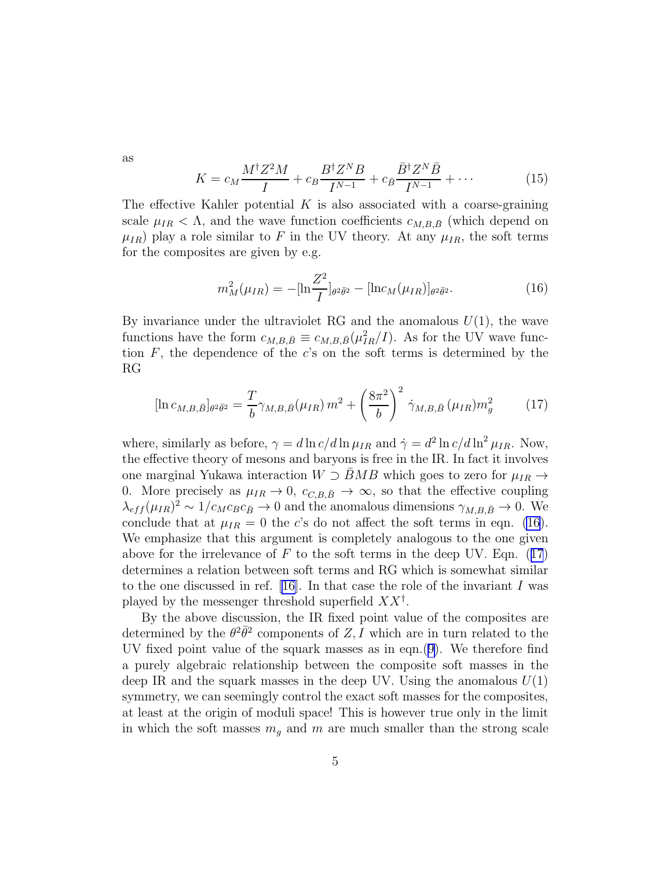<span id="page-5-0"></span>as

$$
K = c_M \frac{M^{\dagger} Z^2 M}{I} + c_B \frac{B^{\dagger} Z^N B}{I^{N-1}} + c_{\bar{B}} \frac{\bar{B}^{\dagger} Z^N \bar{B}}{I^{N-1}} + \cdots
$$
 (15)

The effective Kahler potential  $K$  is also associated with a coarse-graining scale  $\mu_{IR} < \Lambda$ , and the wave function coefficients  $c_{M,B,\bar{B}}$  (which depend on  $\mu_{IR}$ ) play a role similar to F in the UV theory. At any  $\mu_{IR}$ , the soft terms for the composites are given by e.g.

$$
m_M^2(\mu_{IR}) = -[\ln \frac{Z^2}{I}]_{\theta^2 \bar{\theta}^2} - [\ln c_M(\mu_{IR})]_{\theta^2 \bar{\theta}^2}.
$$
 (16)

By invariance under the ultraviolet RG and the anomalous  $U(1)$ , the wave functions have the form  $c_{M,B,\bar{B}} \equiv c_{M,B,\bar{B}} (\mu_{IR}^2/I)$ . As for the UV wave function  $F$ , the dependence of the c's on the soft terms is determined by the RG

$$
[\ln c_{M,B,\bar{B}}]_{\theta^2 \bar{\theta}^2} = \frac{T}{b} \gamma_{M,B,\bar{B}}(\mu_{IR}) m^2 + \left(\frac{8\pi^2}{b}\right)^2 \dot{\gamma}_{M,B,\bar{B}}(\mu_{IR}) m_g^2 \tag{17}
$$

where, similarly as before,  $\gamma = d \ln c / d \ln \mu_{IR}$  and  $\dot{\gamma} = d^2 \ln c / d \ln^2 \mu_{IR}$ . Now, the effective theory of mesons and baryons is free in the IR. In fact it involves one marginal Yukawa interaction  $W \supset BMB$  which goes to zero for  $\mu_{IR} \rightarrow$ 0. More precisely as  $\mu_{IR} \rightarrow 0$ ,  $c_{C,B,\bar{B}} \rightarrow \infty$ , so that the effective coupling  $\lambda_{eff}(\mu_{IR})^2 \sim 1/c_M c_B c_{\bar{B}} \to 0$  and the anomalous dimensions  $\gamma_{M,B,\bar{B}} \to 0$ . We conclude that at  $\mu_{IR} = 0$  the c's do not affect the soft terms in eqn. (16). We emphasize that this argument is completely analogous to the one given above for the irrelevance of  $F$  to the soft terms in the deep UV. Eqn. (17) determines a relation between soft terms and RG which is somewhat similar to the one discussed in ref. [\[16\]](#page-11-0). In that case the role of the invariant I was played by the messenger threshold superfield  $XX^{\dagger}$ .

By the above discussion, the IR fixed point value of the composites are determined by the  $\theta^2 \bar{\theta}^2$  components of Z, I which are in turn related to the UV fixed point value of the squark masses as in eqn.([9\)](#page-3-0). We therefore find a purely algebraic relationship between the composite soft masses in the deep IR and the squark masses in the deep UV. Using the anomalous  $U(1)$ symmetry, we can seemingly control the exact soft masses for the composites, at least at the origin of moduli space! This is however true only in the limit in which the soft masses  $m_q$  and m are much smaller than the strong scale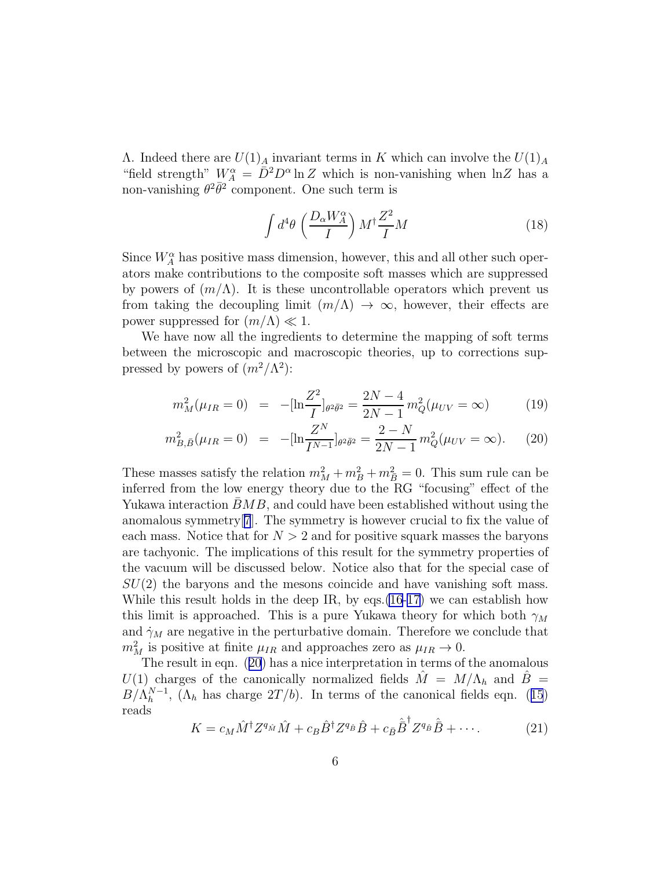<span id="page-6-0"></span>Λ. Indeed there are  $U(1)<sub>A</sub>$  invariant terms in K which can involve the  $U(1)<sub>A</sub>$ "field strength"  $W_A^{\alpha} = \overline{D}^2 D^{\alpha} \ln Z$  which is non-vanishing when  $\ln Z$  has a non-vanishing  $\theta^2 \bar{\theta}^2$  component. One such term is

$$
\int d^4\theta \, \left(\frac{D_\alpha W_A^\alpha}{I}\right) M^\dagger \frac{Z^2}{I} M \tag{18}
$$

Since  $W_A^{\alpha}$  has positive mass dimension, however, this and all other such operators make contributions to the composite soft masses which are suppressed by powers of  $(m/\Lambda)$ . It is these uncontrollable operators which prevent us from taking the decoupling limit  $(m/\Lambda) \to \infty$ , however, their effects are power suppressed for  $(m/\Lambda) \ll 1$ .

We have now all the ingredients to determine the mapping of soft terms between the microscopic and macroscopic theories, up to corrections suppressed by powers of  $(m^2/\Lambda^2)$ :

$$
m_M^2(\mu_{IR} = 0) = -[\ln \frac{Z^2}{I}]_{\theta^2 \bar{\theta}^2} = \frac{2N - 4}{2N - 1} m_Q^2(\mu_{UV} = \infty)
$$
(19)

$$
m_{B,\bar{B}}^2(\mu_{IR}=0) = -[\ln\frac{Z^N}{I^{N-1}}]_{\theta^2\bar{\theta}^2} = \frac{2-N}{2N-1}m_Q^2(\mu_{UV}=\infty). \tag{20}
$$

These masses satisfy the relation  $m_M^2 + m_B^2 + m_{\overline{B}}^2 = 0$ . This sum rule can be inferred from the low energy theory due to the RG "focusing" effect of the Yukawa interaction  $BMB$ , and could have been established without using the anomalous symmetry[[7](#page-11-0)]. The symmetry is however crucial to fix the value of each mass. Notice that for  $N > 2$  and for positive squark masses the baryons are tachyonic. The implications of this result for the symmetry properties of the vacuum will be discussed below. Notice also that for the special case of  $SU(2)$  the baryons and the mesons coincide and have vanishing soft mass. While this result holds in the deep IR, by eqs.[\(16](#page-5-0)-[17\)](#page-5-0) we can establish how this limit is approached. This is a pure Yukawa theory for which both  $\gamma_M$ and  $\dot{\gamma}_M$  are negative in the perturbative domain. Therefore we conclude that  $m_M^2$  is positive at finite  $\mu_{IR}$  and approaches zero as  $\mu_{IR} \to 0$ .

The result in eqn. (20) has a nice interpretation in terms of the anomalous  $U(1)$  charges of the canonically normalized fields  $M = M/\Lambda_h$  and  $B =$  $B/\Lambda_h^{N-1}$  $h^{N-1}$ , $(\Lambda_h$  has charge  $2T/b$ . In terms of the canonical fields eqn. ([15](#page-5-0)) reads

$$
K = c_M \hat{M}^\dagger Z^{q_{\hat{M}}} \hat{M} + c_B \hat{B}^\dagger Z^{q_{\hat{B}}} \hat{B} + c_{\bar{B}} \hat{\bar{B}}^\dagger Z^{q_{\hat{B}}} \hat{\bar{B}} + \cdots. \tag{21}
$$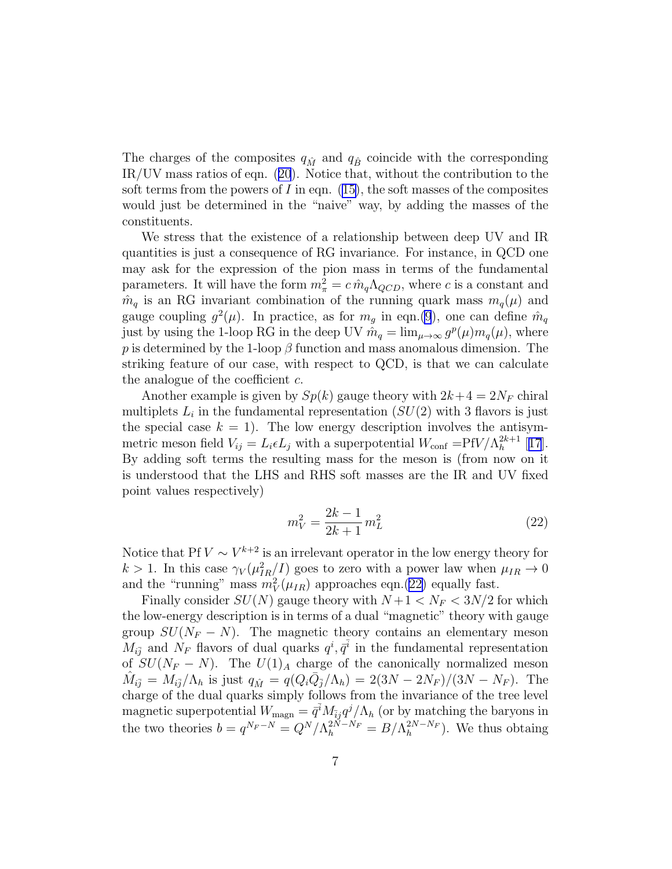The charges of the composites  $q_{\hat{M}}$  and  $q_{\hat{B}}$  coincide with the corresponding IR/UV mass ratios of eqn.([20](#page-6-0)). Notice that, without the contribution to the soft terms from the powers of I in eqn.  $(15)$ , the soft masses of the composites would just be determined in the "naive" way, by adding the masses of the constituents.

We stress that the existence of a relationship between deep UV and IR quantities is just a consequence of RG invariance. For instance, in QCD one may ask for the expression of the pion mass in terms of the fundamental parameters. It will have the form  $m_{\pi}^2 = c \hat{m}_q \Lambda_{QCD}$ , where c is a constant and  $\hat{m}_q$  is an RG invariant combination of the running quark mass  $m_q(\mu)$  and gauge coupling  $g^2(\mu)$ . In practice, as for  $m_g$  in eqn.[\(9](#page-3-0)), one can define  $\hat{m}_q$ just by using the 1-loop RG in the deep UV  $\hat{m}_q = \lim_{\mu \to \infty} g^p(\mu) m_q(\mu)$ , where p is determined by the 1-loop  $\beta$  function and mass anomalous dimension. The striking feature of our case, with respect to QCD, is that we can calculate the analogue of the coefficient  $c$ .

Another example is given by  $Sp(k)$  gauge theory with  $2k+4 = 2N_F$  chiral multiplets  $L_i$  in the fundamental representation  $(SU(2)$  with 3 flavors is just the special case  $k = 1$ . The low energy description involves the antisymmetric meson field  $V_{ij} = L_i \epsilon L_j$  with a superpotential  $W_{\text{conf}} = \text{Pf}V/\Lambda_h^{2k+1}$  [[17](#page-11-0)]. By adding soft terms the resulting mass for the meson is (from now on it is understood that the LHS and RHS soft masses are the IR and UV fixed point values respectively)

$$
m_V^2 = \frac{2k - 1}{2k + 1} m_L^2
$$
 (22)

Notice that Pf  $V \sim V^{k+2}$  is an irrelevant operator in the low energy theory for  $k > 1$ . In this case  $\gamma_V(\mu_{IR}^2/I)$  goes to zero with a power law when  $\mu_{IR} \to 0$ and the "running" mass  $m_V^2(\mu_{IR})$  approaches eqn.(22) equally fast.

Finally consider  $SU(N)$  gauge theory with  $N+1 < N_F < 3N/2$  for which the low-energy description is in terms of a dual "magnetic" theory with gauge group  $SU(N_F - N)$ . The magnetic theory contains an elementary meson  $M_{i\bar{j}}$  and  $\dot{N}_F$  flavors of dual quarks  $q^i, \bar{q}^{\bar{i}}$  in the fundamental representation of  $SU(N_F - N)$ . The  $U(1)_A$  charge of the canonically normalized meson  $\hat{M}_{i\bar{j}} = M_{i\bar{j}}/\Lambda_h$  is just  $q_{\hat{M}} = q(Q_i\bar{Q}_{\bar{j}}/\Lambda_h) = 2(3N - 2N_F)/(3N - N_F)$ . The charge of the dual quarks simply follows from the invariance of the tree level magnetic superpotential  $W_{\text{magn}} = \bar{q}^{\bar{i}} M_{\bar{i}j} q^j / \Lambda_h$  (or by matching the baryons in the two theories  $b = q^{N_F - N} = Q^N / \Lambda_h^{2N - N_F} = B / \Lambda_h^{2N - N_F}$  $\binom{2N-N_F}{h}$ . We thus obtaing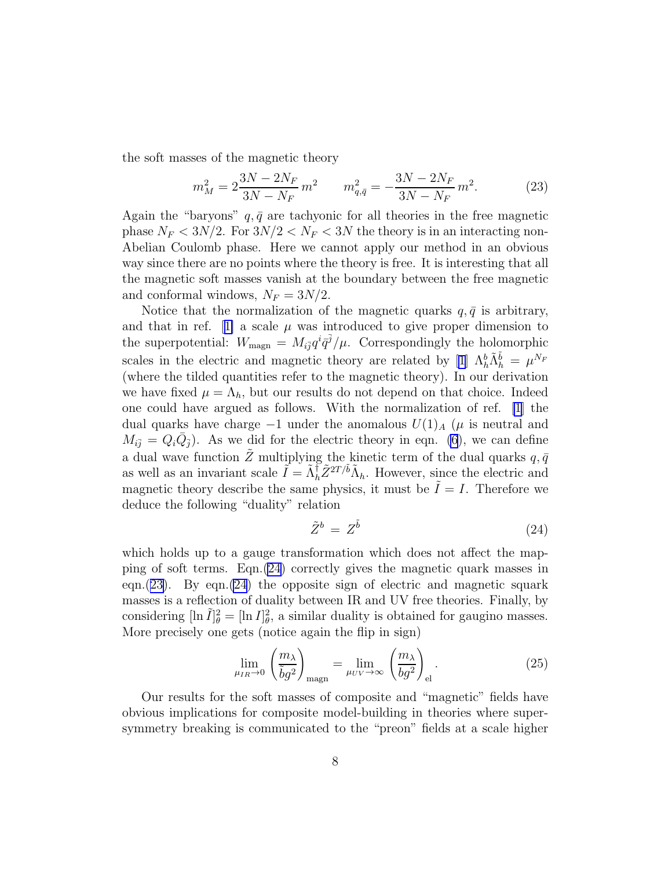the soft masses of the magnetic theory

$$
m_M^2 = 2\frac{3N - 2N_F}{3N - N_F}m^2 \qquad m_{q,\bar{q}}^2 = -\frac{3N - 2N_F}{3N - N_F}m^2.
$$
 (23)

Again the "baryons"  $q, \bar{q}$  are tachyonic for all theories in the free magnetic phase  $N_F < 3N/2$ . For  $3N/2 < N_F < 3N$  the theory is in an interacting non-Abelian Coulomb phase. Here we cannot apply our method in an obvious way since there are no points where the theory is free. It is interesting that all the magnetic soft masses vanish at the boundary between the free magnetic and conformal windows,  $N_F = 3N/2$ .

Notice that the normalization of the magnetic quarks  $q, \bar{q}$  is arbitrary, andthat in ref. [[1\]](#page-10-0) a scale  $\mu$  was introduced to give proper dimension to the superpotential:  $W_{\text{magn}} = M_{i\bar{j}} q^i \bar{q}^{\bar{j}}/\mu$ . Correspondingly the holomorphic scales in the electric and magnetic theory are related by [\[1](#page-10-0)]  $\Lambda_h^b \tilde{\Lambda}_h^{\tilde{b}} = \mu^{N_F}$ (where the tilded quantities refer to the magnetic theory). In our derivation we have fixed  $\mu = \Lambda_h$ , but our results do not depend on that choice. Indeed one could have argued as follows. With the normalization of ref. [\[1](#page-10-0)] the dual quarks have charge  $-1$  under the anomalous  $U(1)_A$  ( $\mu$  is neutral and  $M_{i\bar{j}} = Q_i \bar{Q}_{\bar{j}}$ . As we did for the electric theory in eqn. [\(6](#page-2-0)), we can define a dual wave function  $\tilde{Z}$  multiplying the kinetic term of the dual quarks  $q, \bar{q}$ as well as an invariant scale  $\tilde{I} = \tilde{\Lambda}_h^{\dagger} \tilde{Z}^{2T/\tilde{b}} \tilde{\Lambda}_h$ . However, since the electric and magnetic theory describe the same physics, it must be  $\ddot{I} = I$ . Therefore we deduce the following "duality" relation

$$
\tilde{Z}^b = Z^{\tilde{b}} \tag{24}
$$

which holds up to a gauge transformation which does not affect the mapping of soft terms. Eqn.(24) correctly gives the magnetic quark masses in eqn.(23). By eqn.(24) the opposite sign of electric and magnetic squark masses is a reflection of duality between IR and UV free theories. Finally, by considering  $[\ln \tilde{I}]_{\theta}^2 = [\ln I]_{\theta}^2$ , a similar duality is obtained for gaugino masses. More precisely one gets (notice again the flip in sign)

$$
\lim_{\mu_{IR}\to 0} \left(\frac{m_{\lambda}}{\tilde{b}g^2}\right)_{\text{magn}} = \lim_{\mu_{UV}\to \infty} \left(\frac{m_{\lambda}}{bg^2}\right)_{\text{el}}.\tag{25}
$$

Our results for the soft masses of composite and "magnetic" fields have obvious implications for composite model-building in theories where supersymmetry breaking is communicated to the "preon" fields at a scale higher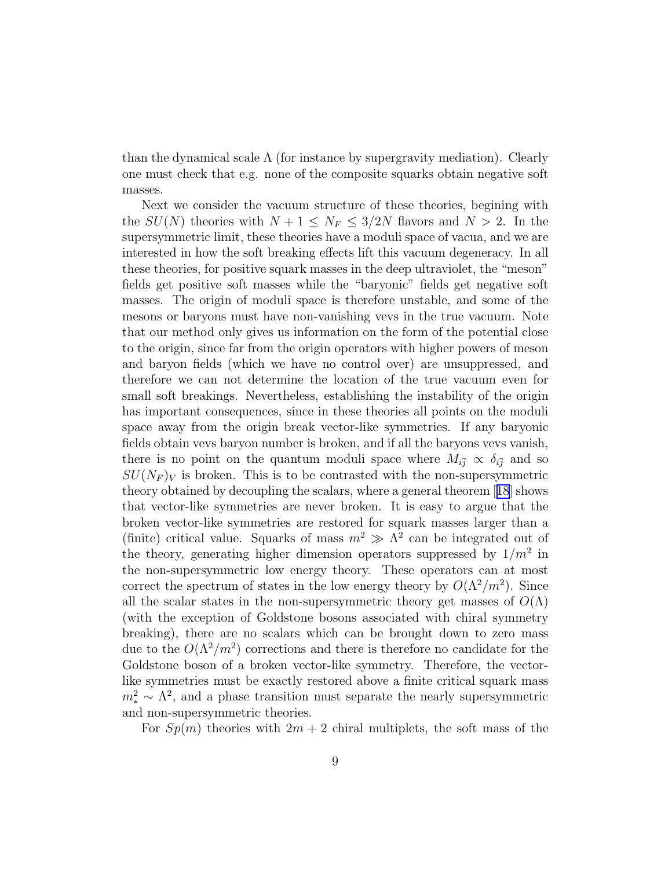than the dynamical scale  $\Lambda$  (for instance by supergravity mediation). Clearly one must check that e.g. none of the composite squarks obtain negative soft masses.

Next we consider the vacuum structure of these theories, begining with the  $SU(N)$  theories with  $N + 1 \leq N_F \leq 3/2N$  flavors and  $N > 2$ . In the supersymmetric limit, these theories have a moduli space of vacua, and we are interested in how the soft breaking effects lift this vacuum degeneracy. In all these theories, for positive squark masses in the deep ultraviolet, the "meson" fields get positive soft masses while the "baryonic" fields get negative soft masses. The origin of moduli space is therefore unstable, and some of the mesons or baryons must have non-vanishing vevs in the true vacuum. Note that our method only gives us information on the form of the potential close to the origin, since far from the origin operators with higher powers of meson and baryon fields (which we have no control over) are unsuppressed, and therefore we can not determine the location of the true vacuum even for small soft breakings. Nevertheless, establishing the instability of the origin has important consequences, since in these theories all points on the moduli space away from the origin break vector-like symmetries. If any baryonic fields obtain vevs baryon number is broken, and if all the baryons vevs vanish, there is no point on the quantum moduli space where  $M_{i\bar{j}} \propto \delta_{i\bar{j}}$  and so  $SU(N_F)_V$  is broken. This is to be contrasted with the non-supersymmetric theory obtained by decoupling the scalars, where a general theorem[[18](#page-11-0)] shows that vector-like symmetries are never broken. It is easy to argue that the broken vector-like symmetries are restored for squark masses larger than a (finite) critical value. Squarks of mass  $m^2 \gg \Lambda^2$  can be integrated out of the theory, generating higher dimension operators suppressed by  $1/m^2$  in the non-supersymmetric low energy theory. These operators can at most correct the spectrum of states in the low energy theory by  $O(\Lambda^2/m^2)$ . Since all the scalar states in the non-supersymmetric theory get masses of  $O(\Lambda)$ (with the exception of Goldstone bosons associated with chiral symmetry breaking), there are no scalars which can be brought down to zero mass due to the  $O(\Lambda^2/m^2)$  corrections and there is therefore no candidate for the Goldstone boson of a broken vector-like symmetry. Therefore, the vectorlike symmetries must be exactly restored above a finite critical squark mass  $m_*^2 \sim \Lambda^2$ , and a phase transition must separate the nearly supersymmetric and non-supersymmetric theories.

For  $Sp(m)$  theories with  $2m + 2$  chiral multiplets, the soft mass of the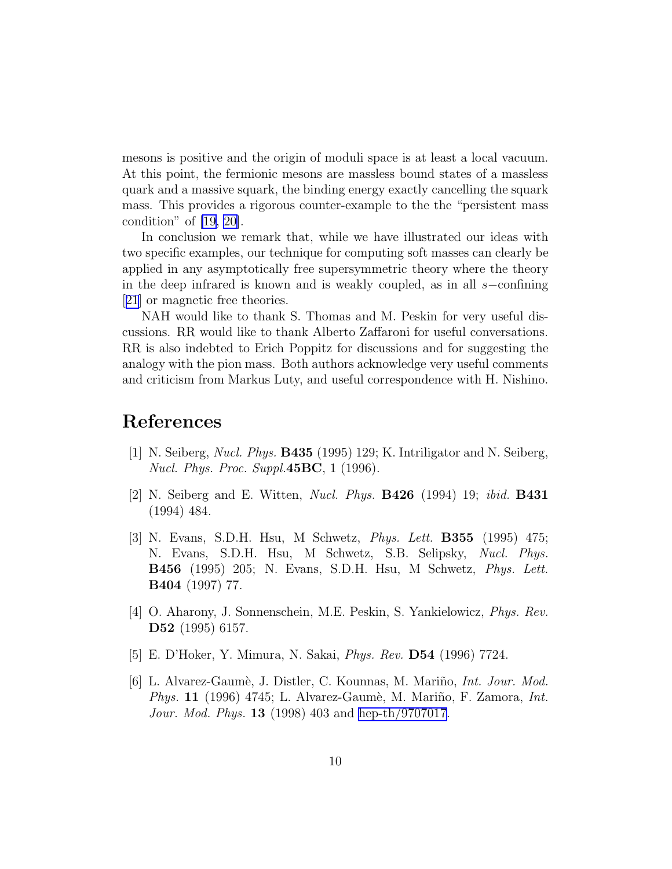<span id="page-10-0"></span>mesons is positive and the origin of moduli space is at least a local vacuum. At this point, the fermionic mesons are massless bound states of a massless quark and a massive squark, the binding energy exactly cancelling the squark mass. This provides a rigorous counter-example to the the "persistent mass condition" of [\[19, 20\]](#page-11-0).

In conclusion we remark that, while we have illustrated our ideas with two specific examples, our technique for computing soft masses can clearly be applied in any asymptotically free supersymmetric theory where the theory in the deep infrared is known and is weakly coupled, as in all s−confining [[21](#page-11-0)] or magnetic free theories.

NAH would like to thank S. Thomas and M. Peskin for very useful discussions. RR would like to thank Alberto Zaffaroni for useful conversations. RR is also indebted to Erich Poppitz for discussions and for suggesting the analogy with the pion mass. Both authors acknowledge very useful comments and criticism from Markus Luty, and useful correspondence with H. Nishino.

## References

- [1] N. Seiberg, Nucl. Phys. B435 (1995) 129; K. Intriligator and N. Seiberg, Nucl. Phys. Proc. Suppl. $45BC$ , 1 (1996).
- [2] N. Seiberg and E. Witten, Nucl. Phys. B426 (1994) 19; ibid. B431 (1994) 484.
- [3] N. Evans, S.D.H. Hsu, M Schwetz, Phys. Lett. B355 (1995) 475; N. Evans, S.D.H. Hsu, M Schwetz, S.B. Selipsky, Nucl. Phys. B456 (1995) 205; N. Evans, S.D.H. Hsu, M Schwetz, Phys. Lett. B404 (1997) 77.
- [4] O. Aharony, J. Sonnenschein, M.E. Peskin, S. Yankielowicz, Phys. Rev. D52 (1995) 6157.
- [5] E. D'Hoker, Y. Mimura, N. Sakai, Phys. Rev. D54 (1996) 7724.
- [6] L. Alvarez-Gaumè, J. Distler, C. Kounnas, M. Mariño, *Int. Jour. Mod.* Phys. 11 (1996) 4745; L. Alvarez-Gaumè, M. Mariño, F. Zamora, Int. Jour. Mod. Phys. **13** (1998) 403 and [hep-th/9707017](http://arxiv.org/abs/hep-th/9707017).